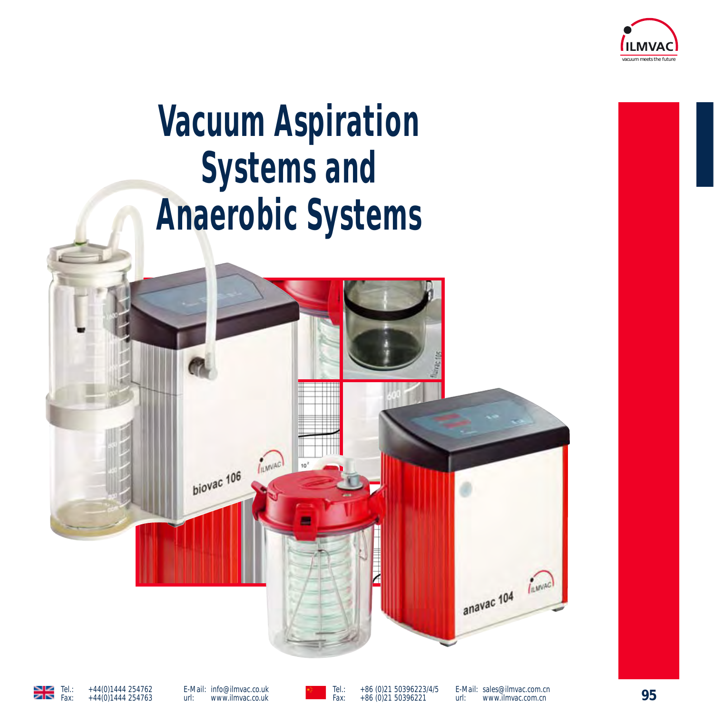

# **Vacuum Aspiration Systems and Anaerobic Systems**





E-Mail: info@ilmvac.co.uk<br>url: www.ilmvac.co.uk url: www.ilmvac.co.uk

**95** Tel.: +44(0)1444 254762 Tel.: +86 (0)21 50396223/4/5 Fax: +86 (0)21 50396221

E-Mail: sales@ilmvac.com.cn<br>url: www.ilmvac.com.cn www.ilmvac.com.cn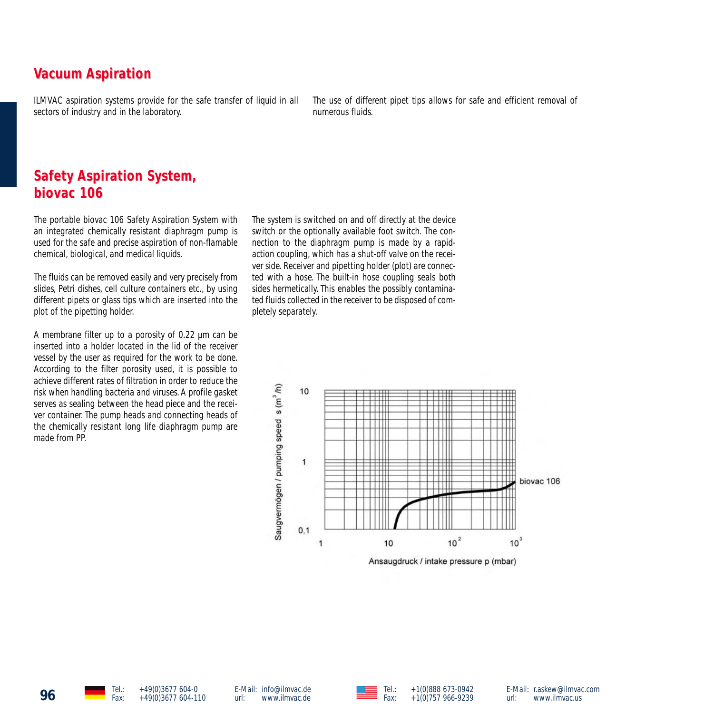# **Vacuum Aspiration**

ILMVAC aspiration systems provide for the safe transfer of liquid in all sectors of industry and in the laboratory.

The use of different pipet tips allows for safe and efficient removal of numerous fluids.

# **Safety Aspiration System, biovac 106 biovac 106**

The portable biovac 106 Safety Aspiration System with an integrated chemically resistant diaphragm pump is used for the safe and precise aspiration of non-flamable chemical, biological, and medical liquids.

The fluids can be removed easily and very precisely from slides, Petri dishes, cell culture containers etc., by using different pipets or glass tips which are inserted into the plot of the pipetting holder.

A membrane filter up to a porosity of 0.22 µm can be inserted into a holder located in the lid of the receiver vessel by the user as required for the work to be done. According to the filter porosity used, it is possible to achieve different rates of filtration in order to reduce the risk when handling bacteria and viruses. A profile gasket serves as sealing between the head piece and the receiver container. The pump heads and connecting heads of the chemically resistant long life diaphragm pump are made from PP.

The system is switched on and off directly at the device switch or the optionally available foot switch. The connection to the diaphragm pump is made by a rapidaction coupling, which has a shut-off valve on the receiver side. Receiver and pipetting holder (plot) are connected with a hose. The built-in hose coupling seals both sides hermetically. This enables the possibly contaminated fluids collected in the receiver to be disposed of completely separately.





E-Mail: r.askew@ilmvac.com<br>url: www.ilmvac.us www.ilmvac.us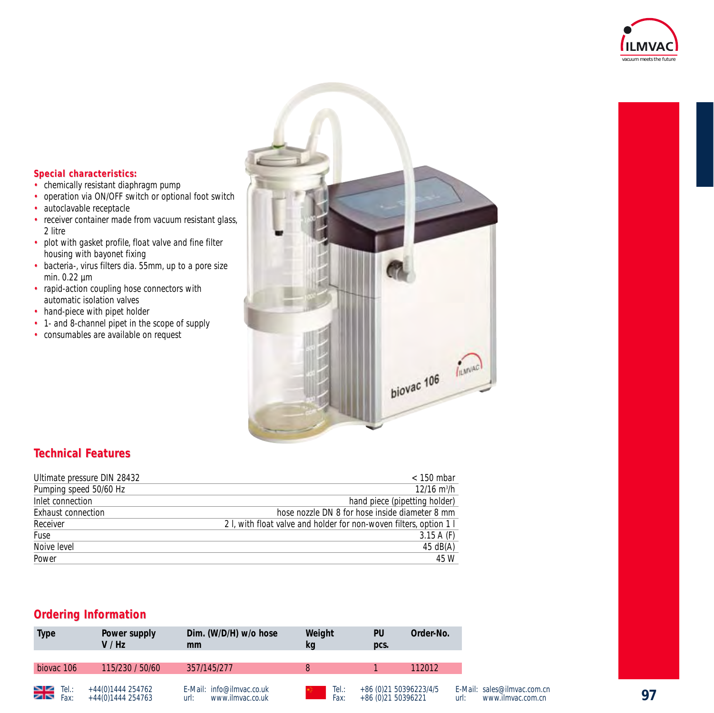



### $Special characteristics:$

- chemically resistant diaphragm pump
- operation via ON/OFF switch or optional foot switch<br>• autoclavable receptacle
- autoclavable receptacle
- receiver container made from vacuum resistant glass, 2 litre
- plot with gasket profile, float valve and fine filter housing with bayonet fixing
- bacteria-, virus filters dia. 55mm, up to a pore size min. 0.22 µm
- rapid-action coupling hose connectors with automatic isolation valves
- hand-piece with pipet holder
- 1- and 8-channel pipet in the scope of supply
- consumables are available on request

### **Technical F echnical Features**

| Ultimate pressure DIN 28432 | $<$ 150 mbar                                                       |
|-----------------------------|--------------------------------------------------------------------|
| Pumping speed 50/60 Hz      | $12/16$ m <sup>3</sup> /h                                          |
| Inlet connection            | hand piece (pipetting holder)                                      |
| Exhaust connection          | hose nozzle DN 8 for hose inside diameter 8 mm                     |
| Receiver                    | 2. L, with float valve and holder for non-woven filters, option 1. |
| Fuse                        | $3.15A$ (F)                                                        |
| Noive level                 | $45 \text{ dB}(A)$                                                 |
| Power                       | 45 W                                                               |

### **Ordering Information**

| Type                  | Power supply<br>V / Hz                 | Dim. (W/D/H) w/o hose<br>mm                           | Weight<br>kq  | PU<br>pcs.         | Order-No.               |
|-----------------------|----------------------------------------|-------------------------------------------------------|---------------|--------------------|-------------------------|
| biovac <sub>106</sub> | 115/230 / 50/60                        | 357/145/277                                           |               |                    | 112012                  |
| $\sum_{\text{Fax:}}$  | +44(0)1444 254762<br>+44(0)1444 254763 | E-Mail: info@ilmvac.co.uk<br>www.ilmvac.co.uk<br>url: | Tel.:<br>Fax: | +86 (0)21 50396221 | +86 (0) 21 50396223/4/5 |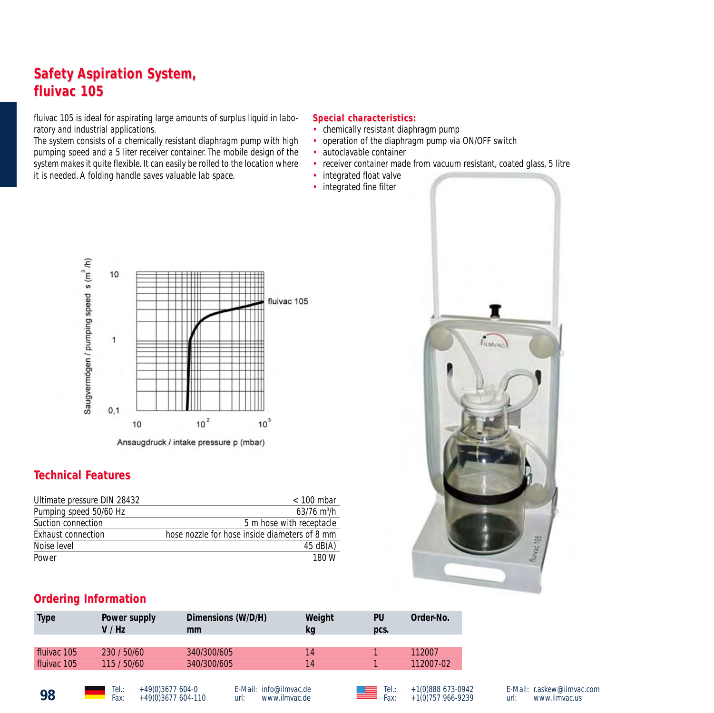# **Safety Aspiration System, fluivac 105 fluivac 105**

fluivac 105 is ideal for aspirating large amounts of surplus liquid in laboratory and industrial applications.

The system consists of a chemically resistant diaphragm pump with high pumping speed and a 5 liter receiver container. The mobile design of the system makes it quite flexible. It can easily be rolled to the location where it is needed. A folding handle saves valuable lab space.

#### $Special characteristics:$

- chemically resistant diaphragm pump
- operation of the diaphragm pump via ON/OFF switch
- autoclavable container
- receiver container made from vacuum resistant, coated glass, 5 litre
- integrated float valve
- integrated fine filter



### **Technical F echnical Features**

| $< 100$ mbar                                  |
|-----------------------------------------------|
| $63/76$ m <sup>3</sup> /h                     |
| 5 m hose with receptacle                      |
| hose nozzle for hose inside diameters of 8 mm |
| $45 \text{ dB}(A)$                            |
| 180 W                                         |
|                                               |

# т **CILMVAC** fluing say

### **Ordering Information**

| Type        | Power supply<br>V/Hz | Dimensions (W/D/H)<br>mm | Weight<br>kg | PU<br>pcs. | Order-No. |
|-------------|----------------------|--------------------------|--------------|------------|-----------|
|             |                      |                          |              |            |           |
| fluivac 105 | 230 / 50/60          | 340/300/605              | 14           |            | 112007    |
| fluivac 105 | 115 / 50/60          | 340/300/605              | 14           |            | 112007-02 |
|             |                      |                          |              |            |           |

**98** Tel.: +49(0)3677 604-0<br>Fax: +49(0)3677 604-110

E-Mail: info@ilmvac.de<br>url: www.ilmvac.de www.ilmvac.de



E-Mail: r.askew@ilmvac.com<br>url: www.ilmvac.us www.ilmvac.us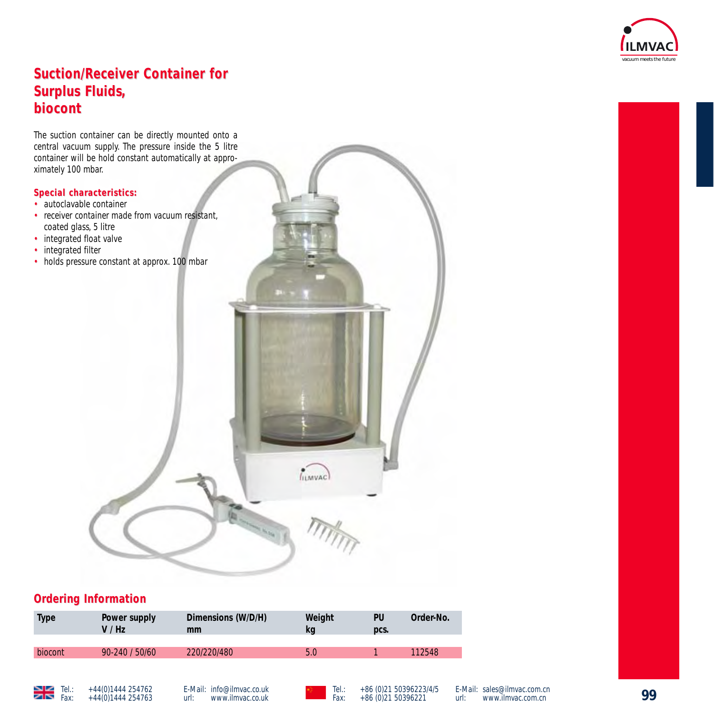

# **Suction/Receiver Container for Surplus Fluids, biocont biocont**

The suction container can be directly mounted onto a central vacuum supply. The pressure inside the 5 litre container will be hold constant automatically at approximately 100 mbar.

### $Special characteristics:$

- autoclavable container
- receiver container made from vacuum resistant. coated glass, 5 litre
- integrated float valve
- integrated filter
- holds pressure constant at approx. 100 mbar



## **Ordering Information**

| <b>Type</b> | Power supply<br>V / Hz | Dimensions (W/D/H)<br>mm | Weight<br>kq | PU<br>DCS. | Order-No. |
|-------------|------------------------|--------------------------|--------------|------------|-----------|
|             |                        |                          |              |            |           |
| biocont     | $90 - 240 / 50/60$     | 220/220/480              | 5.0          |            | 112548    |
|             |                        |                          |              |            |           |



E-Mail: info@ilmvac.co.uk<br>url: www.ilmvac.co.uk www.ilmvac.co.uk

Tel.: +44(0)1444 254762 E-Mail: info@ilmvac.co.uk **Tel.: +86 (0)21 50396223/4/5 E-**Mail: sales@ilmvac.com.cn<br>Fax: +44(0)1444 254763 url: www.ilmvac.co.uk Fax: +86 (0)21 50396221 url: www.ilmvac.com.cn

E-Mail: sales@ilmvac.com.cn<br>url: www.ilmvac.com.cn www.ilmvac.com.cn